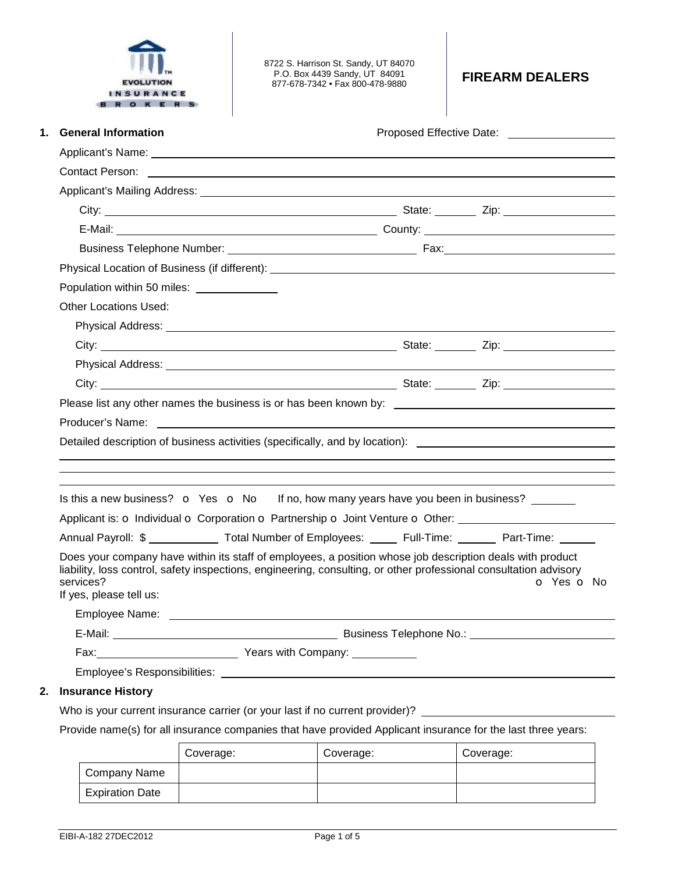

8722 S. Harrison St. Sandy, UT 84070 P.O. Box 4439 Sandy, UT 84091 877-678-7342 • Fax 800-478-9880 **FIREARM DEALERS** 

| 1. | <b>General Information</b>                                                                                                                                                                                                                                                                                   |  |  |  |            |
|----|--------------------------------------------------------------------------------------------------------------------------------------------------------------------------------------------------------------------------------------------------------------------------------------------------------------|--|--|--|------------|
|    |                                                                                                                                                                                                                                                                                                              |  |  |  |            |
|    |                                                                                                                                                                                                                                                                                                              |  |  |  |            |
|    |                                                                                                                                                                                                                                                                                                              |  |  |  |            |
|    |                                                                                                                                                                                                                                                                                                              |  |  |  |            |
|    |                                                                                                                                                                                                                                                                                                              |  |  |  |            |
|    |                                                                                                                                                                                                                                                                                                              |  |  |  |            |
|    |                                                                                                                                                                                                                                                                                                              |  |  |  |            |
|    | Population within 50 miles: _______________                                                                                                                                                                                                                                                                  |  |  |  |            |
|    | <b>Other Locations Used:</b>                                                                                                                                                                                                                                                                                 |  |  |  |            |
|    |                                                                                                                                                                                                                                                                                                              |  |  |  |            |
|    |                                                                                                                                                                                                                                                                                                              |  |  |  |            |
|    |                                                                                                                                                                                                                                                                                                              |  |  |  |            |
|    | City: <u>City:</u> City: City: City: City: City: City: City: City: City: City: City: City: City: City: City: City: City: City: City: City: City: City: City: City: City: City: City: City: City: City: City: City: City: City: City                                                                          |  |  |  |            |
|    |                                                                                                                                                                                                                                                                                                              |  |  |  |            |
|    |                                                                                                                                                                                                                                                                                                              |  |  |  |            |
|    | Detailed description of business activities (specifically, and by location): _________________________________                                                                                                                                                                                               |  |  |  |            |
|    |                                                                                                                                                                                                                                                                                                              |  |  |  |            |
|    |                                                                                                                                                                                                                                                                                                              |  |  |  |            |
|    | Is this a new business? $\bullet$ Yes $\bullet$ No If no, how many years have you been in business?                                                                                                                                                                                                          |  |  |  |            |
|    | Applicant is: o Individual o Corporation o Partnership o Joint Venture o Other:                                                                                                                                                                                                                              |  |  |  |            |
|    | Annual Payroll: \$ _____________ Total Number of Employees: _____ Full-Time: _______ Part-Time: _____                                                                                                                                                                                                        |  |  |  |            |
|    | Does your company have within its staff of employees, a position whose job description deals with product<br>liability, loss control, safety inspections, engineering, consulting, or other professional consultation advisory<br>services?<br>If yes, please tell us:<br>Employee Name: ___________________ |  |  |  | O Yes O No |
|    |                                                                                                                                                                                                                                                                                                              |  |  |  |            |
|    |                                                                                                                                                                                                                                                                                                              |  |  |  |            |
|    |                                                                                                                                                                                                                                                                                                              |  |  |  |            |
| 2. | <b>Insurance History</b>                                                                                                                                                                                                                                                                                     |  |  |  |            |
|    | Who is your current insurance carrier (or your last if no current provider)?                                                                                                                                                                                                                                 |  |  |  |            |
|    | Provide name(s) for all insurance companies that have provided Applicant insurance for the last three vears:                                                                                                                                                                                                 |  |  |  |            |

Provide name(s) for all insurance companies that have provided Applicant insurance for the last three years:

|                        | Coverage: | Coverage: | Coverage: |
|------------------------|-----------|-----------|-----------|
| Company Name           |           |           |           |
| <b>Expiration Date</b> |           |           |           |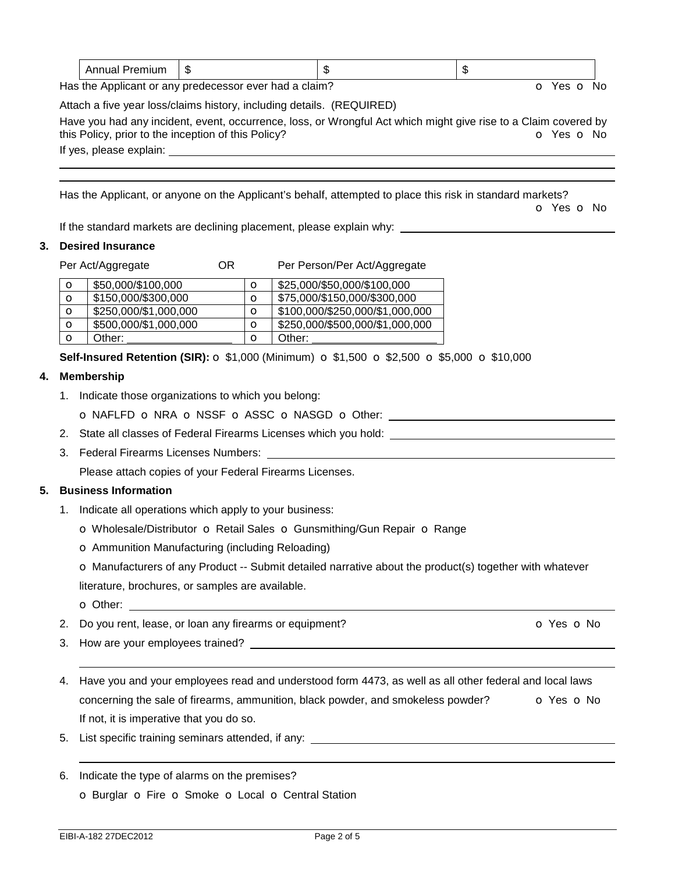|  | m<br>- 11 |  | æ<br>- 11 |
|--|-----------|--|-----------|
|--|-----------|--|-----------|

Has the Applicant or any predecessor ever had a claim? Department of No. Yes **o** No.

Attach a five year loss/claims history, including details. (REQUIRED)

Have you had any incident, event, occurrence, loss, or Wrongful Act which might give rise to a Claim covered by this Policy, prior to the inception of this Policy? **o** Yes **o** No

If yes, please explain: 

Has the Applicant, or anyone on the Applicant's behalf, attempted to place this risk in standard markets?

o Yes o No

If the standard markets are declining placement, please explain why:

### **3. Desired Insurance**

Per Act/Aggregate **OR** Per Person/Per Act/Aggregate

| O | \$50,000/\$100,000    | O       | \$25,000/\$50,000/\$100,000     |
|---|-----------------------|---------|---------------------------------|
| O | \$150,000/\$300,000   | $\circ$ | \$75,000/\$150,000/\$300,000    |
| O | \$250,000/\$1,000,000 | $\circ$ | \$100,000/\$250,000/\$1,000,000 |
| O | \$500,000/\$1,000,000 | O       | \$250,000/\$500,000/\$1,000,000 |
| O | Other:                | О       | Other:                          |

**Self-Insured Retention (SIR):** o \$1,000 (Minimum) o \$1,500 o \$2,500 o \$5,000 o \$10,000

### **4. Membership**

1. Indicate those organizations to which you belong:

o NAFLFD o NRA o NSSF o ASSC o NASGD o Other:

- 2. State all classes of Federal Firearms Licenses which you hold:
- 3. Federal Firearms Licenses Numbers:

Please attach copies of your Federal Firearms Licenses.

## **5. Business Information**

1. Indicate all operations which apply to your business:

o Wholesale/Distributor o Retail Sales o Gunsmithing/Gun Repair o Range

o Ammunition Manufacturing (including Reloading)

o Manufacturers of any Product -- Submit detailed narrative about the product(s) together with whatever

literature, brochures, or samples are available.

o Other:

- 2. Do you rent, lease, or loan any firearms or equipment? **O** Yes **o** No
- 3. How are your employees trained?
- 4. Have you and your employees read and understood form 4473, as well as all other federal and local laws concerning the sale of firearms, ammunition, black powder, and smokeless powder?  $\bullet$  Yes  $\bullet$  No If not, it is imperative that you do so.
- 5. List specific training seminars attended, if any:
- 6. Indicate the type of alarms on the premises? o Burglar o Fire o Smoke o Local o Central Station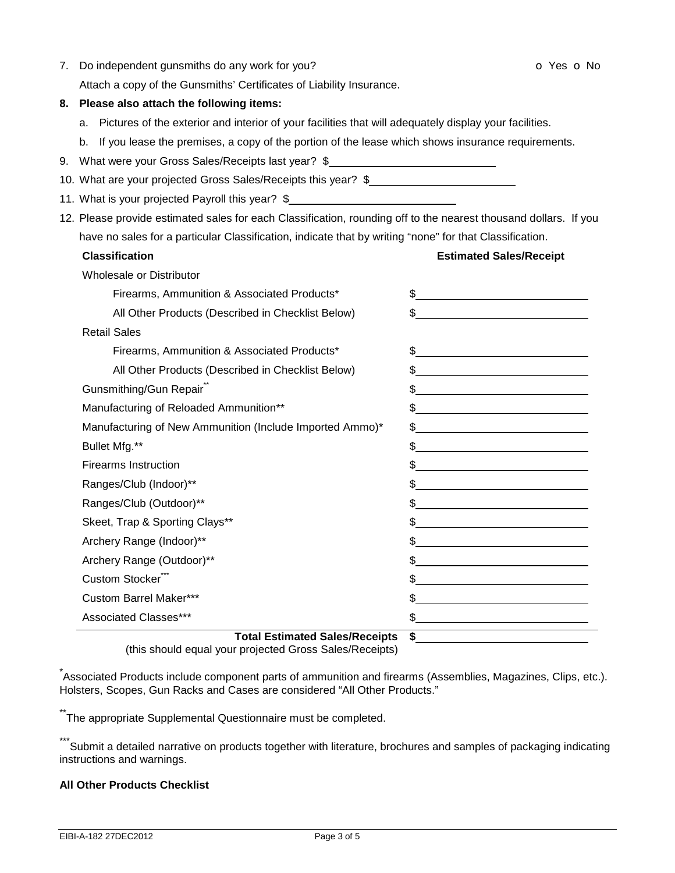| 7.                                                                                                               |                                                          | Do independent gunsmiths do any work for you?                                                             | o Yes o No                                                                                                                                                                                                                                                                                                          |
|------------------------------------------------------------------------------------------------------------------|----------------------------------------------------------|-----------------------------------------------------------------------------------------------------------|---------------------------------------------------------------------------------------------------------------------------------------------------------------------------------------------------------------------------------------------------------------------------------------------------------------------|
|                                                                                                                  |                                                          | Attach a copy of the Gunsmiths' Certificates of Liability Insurance.                                      |                                                                                                                                                                                                                                                                                                                     |
|                                                                                                                  | 8. Please also attach the following items:               |                                                                                                           |                                                                                                                                                                                                                                                                                                                     |
|                                                                                                                  |                                                          | a. Pictures of the exterior and interior of your facilities that will adequately display your facilities. |                                                                                                                                                                                                                                                                                                                     |
|                                                                                                                  |                                                          | b. If you lease the premises, a copy of the portion of the lease which shows insurance requirements.      |                                                                                                                                                                                                                                                                                                                     |
|                                                                                                                  |                                                          | 9. What were your Gross Sales/Receipts last year? \$                                                      |                                                                                                                                                                                                                                                                                                                     |
|                                                                                                                  |                                                          | 10. What are your projected Gross Sales/Receipts this year? \$                                            |                                                                                                                                                                                                                                                                                                                     |
|                                                                                                                  |                                                          | 11. What is your projected Payroll this year? \$                                                          |                                                                                                                                                                                                                                                                                                                     |
| 12. Please provide estimated sales for each Classification, rounding off to the nearest thousand dollars. If you |                                                          |                                                                                                           |                                                                                                                                                                                                                                                                                                                     |
|                                                                                                                  |                                                          | have no sales for a particular Classification, indicate that by writing "none" for that Classification.   |                                                                                                                                                                                                                                                                                                                     |
|                                                                                                                  |                                                          | <b>Classification</b>                                                                                     | <b>Estimated Sales/Receipt</b>                                                                                                                                                                                                                                                                                      |
|                                                                                                                  |                                                          | Wholesale or Distributor                                                                                  |                                                                                                                                                                                                                                                                                                                     |
|                                                                                                                  |                                                          | Firearms, Ammunition & Associated Products*                                                               | $\frac{1}{2}$ $\frac{1}{2}$ $\frac{1}{2}$ $\frac{1}{2}$ $\frac{1}{2}$ $\frac{1}{2}$ $\frac{1}{2}$ $\frac{1}{2}$ $\frac{1}{2}$ $\frac{1}{2}$ $\frac{1}{2}$ $\frac{1}{2}$ $\frac{1}{2}$ $\frac{1}{2}$ $\frac{1}{2}$ $\frac{1}{2}$ $\frac{1}{2}$ $\frac{1}{2}$ $\frac{1}{2}$ $\frac{1}{2}$ $\frac{1}{2}$ $\frac{1}{2}$ |
|                                                                                                                  |                                                          | All Other Products (Described in Checklist Below)                                                         | $\sim$                                                                                                                                                                                                                                                                                                              |
|                                                                                                                  |                                                          | <b>Retail Sales</b>                                                                                       |                                                                                                                                                                                                                                                                                                                     |
|                                                                                                                  |                                                          | Firearms, Ammunition & Associated Products*                                                               | $\frac{1}{2}$                                                                                                                                                                                                                                                                                                       |
|                                                                                                                  |                                                          | All Other Products (Described in Checklist Below)                                                         | $\frac{1}{2}$                                                                                                                                                                                                                                                                                                       |
|                                                                                                                  |                                                          | Gunsmithing/Gun Repair                                                                                    | $\frac{1}{2}$                                                                                                                                                                                                                                                                                                       |
|                                                                                                                  | Manufacturing of Reloaded Ammunition**                   |                                                                                                           | $\frac{1}{2}$                                                                                                                                                                                                                                                                                                       |
|                                                                                                                  | Manufacturing of New Ammunition (Include Imported Ammo)* |                                                                                                           | $\frac{1}{2}$                                                                                                                                                                                                                                                                                                       |
|                                                                                                                  |                                                          | Bullet Mfg.**                                                                                             | $\frac{1}{2}$                                                                                                                                                                                                                                                                                                       |
|                                                                                                                  |                                                          | <b>Firearms Instruction</b>                                                                               | $\frac{1}{2}$                                                                                                                                                                                                                                                                                                       |
|                                                                                                                  |                                                          | Ranges/Club (Indoor)**                                                                                    | $\frac{1}{2}$                                                                                                                                                                                                                                                                                                       |
|                                                                                                                  |                                                          | Ranges/Club (Outdoor)**                                                                                   | $\frac{1}{2}$                                                                                                                                                                                                                                                                                                       |
|                                                                                                                  |                                                          | Skeet, Trap & Sporting Clays**                                                                            | $\frac{1}{2}$ $\frac{1}{2}$ $\frac{1}{2}$ $\frac{1}{2}$ $\frac{1}{2}$ $\frac{1}{2}$ $\frac{1}{2}$ $\frac{1}{2}$ $\frac{1}{2}$ $\frac{1}{2}$ $\frac{1}{2}$ $\frac{1}{2}$ $\frac{1}{2}$ $\frac{1}{2}$ $\frac{1}{2}$ $\frac{1}{2}$ $\frac{1}{2}$ $\frac{1}{2}$ $\frac{1}{2}$ $\frac{1}{2}$ $\frac{1}{2}$ $\frac{1}{2}$ |
|                                                                                                                  |                                                          | Archery Range (Indoor)**                                                                                  | $\frac{1}{2}$                                                                                                                                                                                                                                                                                                       |
|                                                                                                                  |                                                          | Archery Range (Outdoor)**                                                                                 | \$                                                                                                                                                                                                                                                                                                                  |
|                                                                                                                  |                                                          | Custom Stocker"                                                                                           | \$                                                                                                                                                                                                                                                                                                                  |
|                                                                                                                  |                                                          | <b>Custom Barrel Maker***</b>                                                                             | \$                                                                                                                                                                                                                                                                                                                  |
|                                                                                                                  |                                                          | Associated Classes***                                                                                     | \$                                                                                                                                                                                                                                                                                                                  |
|                                                                                                                  |                                                          | <b>Total Estimated Sales/Receipts</b>                                                                     | \$                                                                                                                                                                                                                                                                                                                  |

(this should equal your projected Gross Sales/Receipts)

<sub>.</sub><br>Associated Products include component parts of ammunition and firearms (Assemblies, Magazines, Clips, etc.). Holsters, Scopes, Gun Racks and Cases are considered "All Other Products."

\*\*The appropriate Supplemental Questionnaire must be completed.

\*\*\*Submit a detailed narrative on products together with literature, brochures and samples of packaging indicating instructions and warnings.

# **All Other Products Checklist**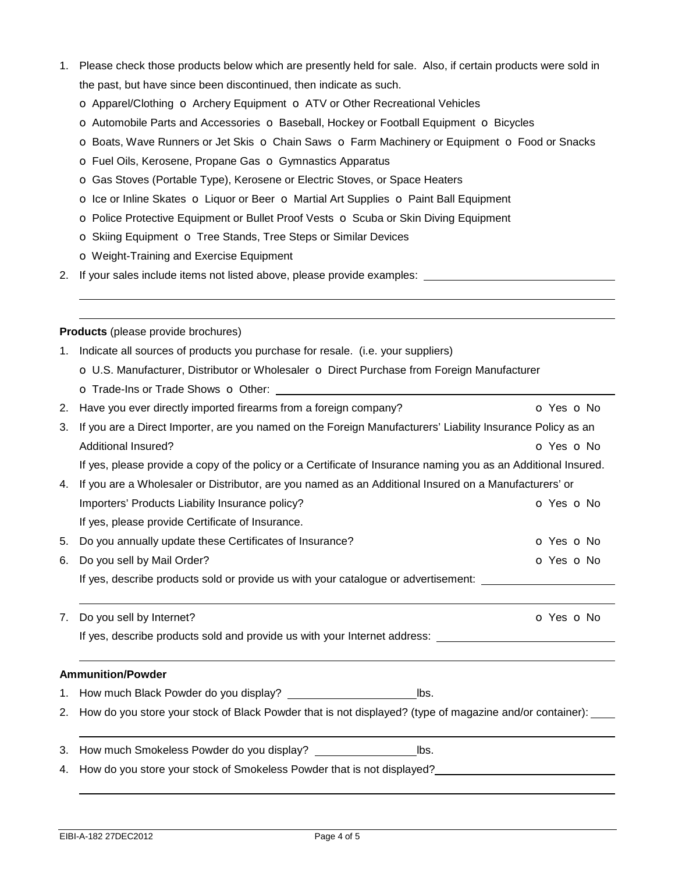- 1. Please check those products below which are presently held for sale. Also, if certain products were sold in the past, but have since been discontinued, then indicate as such.
	- o Apparel/Clothing o Archery Equipment o ATV or Other Recreational Vehicles
	- o Automobile Parts and Accessories o Baseball, Hockey or Football Equipment o Bicycles
	- o Boats, Wave Runners or Jet Skis o Chain Saws o Farm Machinery or Equipment o Food or Snacks
	- o Fuel Oils, Kerosene, Propane Gas o Gymnastics Apparatus
	- o Gas Stoves (Portable Type), Kerosene or Electric Stoves, or Space Heaters
	- o Ice or Inline Skates o Liquor or Beer o Martial Art Supplies o Paint Ball Equipment
	- o Police Protective Equipment or Bullet Proof Vests o Scuba or Skin Diving Equipment
	- o Skiing Equipment o Tree Stands, Tree Steps or Similar Devices
	- o Weight-Training and Exercise Equipment
- 2. If your sales include items not listed above, please provide examples:

**Products** (please provide brochures)

 

- 1. Indicate all sources of products you purchase for resale. (i.e. your suppliers) o U.S. Manufacturer, Distributor or Wholesaler o Direct Purchase from Foreign Manufacturer o Trade-Ins or Trade Shows o Other:
- 2. Have you ever directly imported firearms from a foreign company? **o Yes o No**
- 3. If you are a Direct Importer, are you named on the Foreign Manufacturers' Liability Insurance Policy as an Additional Insured? **o** Yes **o** No. 2014 If yes, please provide a copy of the policy or a Certificate of Insurance naming you as an Additional Insured. 4. If you are a Wholesaler or Distributor, are you named as an Additional Insured on a Manufacturers' or
- Importers' Products Liability Insurance policy? The Contract of Contract Contract of Yes on No If yes, please provide Certificate of Insurance. 5. Do you annually update these Certificates of Insurance? **O** Yes **o** No
- 6. Do you sell by Mail Order? Contact the Contact of the Contact of the Contact of the Contact of the Contact of the Contact of the Contact of the Contact of the Contact of the Contact of the Contact of the Contact of the If yes, describe products sold or provide us with your catalogue or advertisement:
- 7. Do you sell by Internet? Communication of Yes of No. 2012. If yes, describe products sold and provide us with your Internet address:

### **Ammunition/Powder**

- 1. How much Black Powder do you display? lbs.
- 2. How do you store your stock of Black Powder that is not displayed? (type of magazine and/or container):
- 3. How much Smokeless Powder do you display? lbs.
- 4. How do you store your stock of Smokeless Powder that is not displayed?